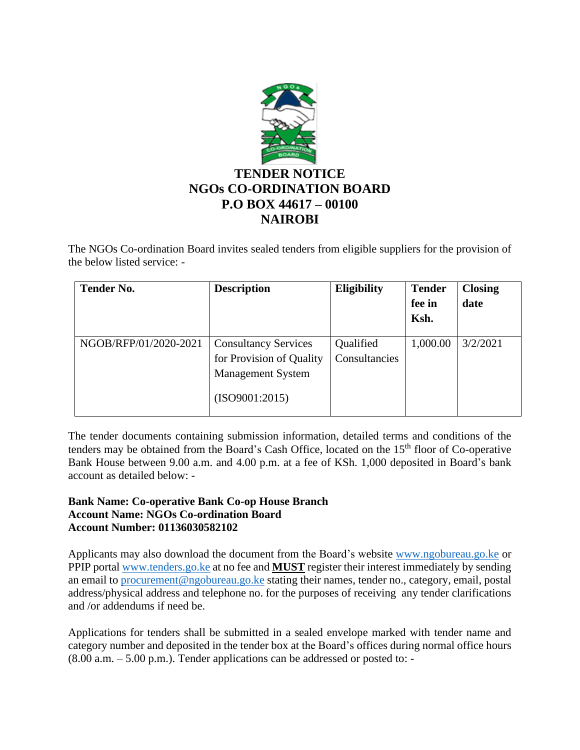

The NGOs Co-ordination Board invites sealed tenders from eligible suppliers for the provision of the below listed service: -

| <b>Tender No.</b>     | <b>Description</b>                                                                                    | <b>Eligibility</b>         | <b>Tender</b> | <b>Closing</b> |
|-----------------------|-------------------------------------------------------------------------------------------------------|----------------------------|---------------|----------------|
|                       |                                                                                                       |                            | fee in        | date           |
|                       |                                                                                                       |                            | Ksh.          |                |
| NGOB/RFP/01/2020-2021 | <b>Consultancy Services</b><br>for Provision of Quality<br><b>Management System</b><br>(ISO9001:2015) | Qualified<br>Consultancies | 1,000.00      | 3/2/2021       |
|                       |                                                                                                       |                            |               |                |

The tender documents containing submission information, detailed terms and conditions of the tenders may be obtained from the Board's Cash Office, located on the 15<sup>th</sup> floor of Co-operative Bank House between 9.00 a.m. and 4.00 p.m. at a fee of KSh. 1,000 deposited in Board's bank account as detailed below: -

## **Bank Name: Co-operative Bank Co-op House Branch Account Name: NGOs Co-ordination Board Account Number: 01136030582102**

Applicants may also download the document from the Board's website [www.ngobureau.go.ke](http://www.ngobureau.go.ke/) or PPIP portal [www.tenders.go.ke](http://www.tenders.go.ke/) at no fee and **MUST** register their interest immediately by sending an email to [procurement@ngobureau.go.ke](mailto:procurement@ngobureau.go.ke) stating their names, tender no., category, email, postal address/physical address and telephone no. for the purposes of receiving any tender clarifications and /or addendums if need be.

Applications for tenders shall be submitted in a sealed envelope marked with tender name and category number and deposited in the tender box at the Board's offices during normal office hours  $(8.00 a.m. - 5.00 p.m.).$  Tender applications can be addressed or posted to: -